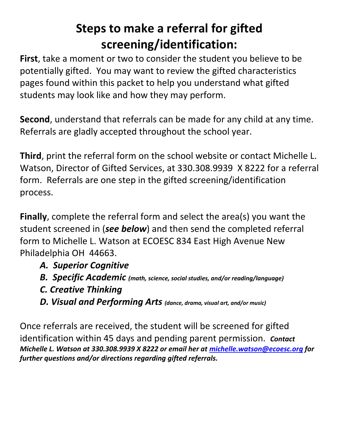## **Steps to make a referral for gifted screening/identification:**

**First**, take a moment or two to consider the student you believe to be potentially gifted. You may want to review the gifted characteristics pages found within this packet to help you understand what gifted students may look like and how they may perform.

**Second**, understand that referrals can be made for any child at any time. Referrals are gladly accepted throughout the school year.

**Third**, print the referral form on the school website or contact Michelle L. Watson, Director of Gifted Services, at 330.308.9939 X 8222 for a referral form. Referrals are one step in the gifted screening/identification process.

**Finally**, complete the referral form and select the area(s) you want the student screened in (*see below*) and then send the completed referral form to Michelle L. Watson at ECOESC 834 East High Avenue New Philadelphia OH 44663.

- *A. Superior Cognitive*
- *B. Specific Academic (math, science, social studies, and/or reading/language)*
- *C. Creative Thinking*
- *D. Visual and Performing Arts (dance, drama, visual art, and/or music)*

Once referrals are received, the student will be screened for gifted identification within 45 days and pending parent permission. *Contact Michelle L. Watson at 330.308.9939 X 8222 or email her at [michelle.watson@ecoesc.org](mailto:michelle.watson@ecoesc.org) for further questions and/or directions regarding gifted referrals.*